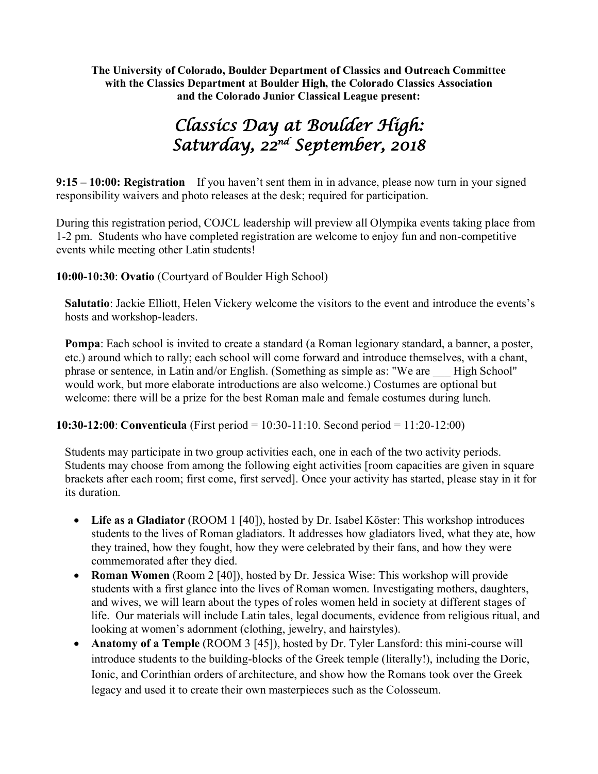**The University of Colorado, Boulder Department of Classics and Outreach Committee with the Classics Department at Boulder High, the Colorado Classics Association and the Colorado Junior Classical League present:**

# *Classics Day at Boulder High: Saturday, 22nd September, 2018*

**9:15 – 10:00: Registration** If you haven't sent them in in advance, please now turn in your signed responsibility waivers and photo releases at the desk; required for participation.

During this registration period, COJCL leadership will preview all Olympika events taking place from 1-2 pm. Students who have completed registration are welcome to enjoy fun and non-competitive events while meeting other Latin students!

**10:00-10:30**: **Ovatio** (Courtyard of Boulder High School)

**Salutatio**: Jackie Elliott, Helen Vickery welcome the visitors to the event and introduce the events's hosts and workshop-leaders.

**Pompa**: Each school is invited to create a standard (a Roman legionary standard, a banner, a poster, etc.) around which to rally; each school will come forward and introduce themselves, with a chant, phrase or sentence, in Latin and/or English. (Something as simple as: "We are \_\_\_ High School" would work, but more elaborate introductions are also welcome.) Costumes are optional but welcome: there will be a prize for the best Roman male and female costumes during lunch.

**10:30-12:00**: **Conventicula** (First period = 10:30-11:10. Second period = 11:20-12:00)

Students may participate in two group activities each, one in each of the two activity periods. Students may choose from among the following eight activities [room capacities are given in square brackets after each room; first come, first served]. Once your activity has started, please stay in it for its duration.

- **Life as a Gladiator** (ROOM 1 [40]), hosted by Dr. Isabel Köster: This workshop introduces students to the lives of Roman gladiators. It addresses how gladiators lived, what they ate, how they trained, how they fought, how they were celebrated by their fans, and how they were commemorated after they died.
- **Roman Women** (Room 2 [40]), hosted by Dr. Jessica Wise: This workshop will provide students with a first glance into the lives of Roman women. Investigating mothers, daughters, and wives, we will learn about the types of roles women held in society at different stages of life. Our materials will include Latin tales, legal documents, evidence from religious ritual, and looking at women's adornment (clothing, jewelry, and hairstyles).
- **Anatomy of a Temple** (ROOM 3 [45]), hosted by Dr. Tyler Lansford: this mini-course will introduce students to the building-blocks of the Greek temple (literally!), including the Doric, Ionic, and Corinthian orders of architecture, and show how the Romans took over the Greek legacy and used it to create their own masterpieces such as the Colosseum.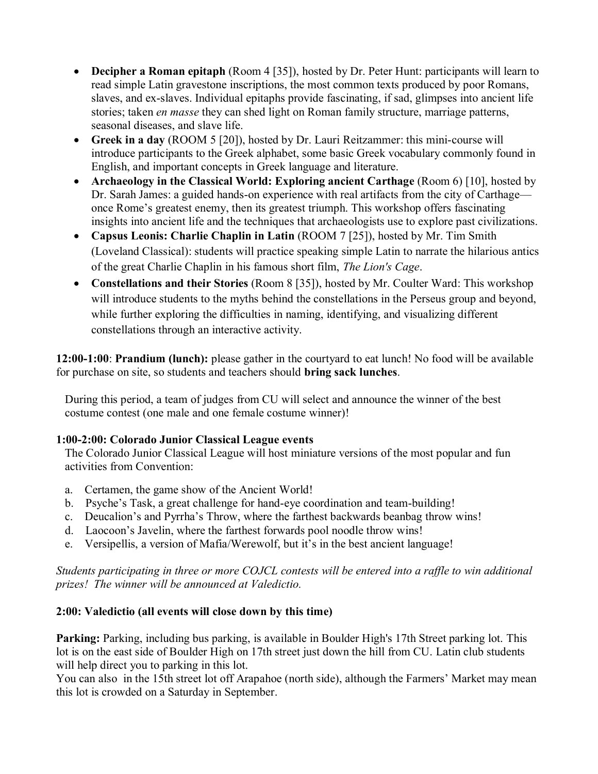- **Decipher a Roman epitaph** (Room 4 [35]), hosted by Dr. Peter Hunt: participants will learn to read simple Latin gravestone inscriptions, the most common texts produced by poor Romans, slaves, and ex-slaves. Individual epitaphs provide fascinating, if sad, glimpses into ancient life stories; taken *en masse* they can shed light on Roman family structure, marriage patterns, seasonal diseases, and slave life.
- **Greek in a day** (ROOM 5 [20]), hosted by Dr. Lauri Reitzammer: this mini-course will introduce participants to the Greek alphabet, some basic Greek vocabulary commonly found in English, and important concepts in Greek language and literature.
- **Archaeology in the Classical World: Exploring ancient Carthage** (Room 6) [10], hosted by Dr. Sarah James: a guided hands-on experience with real artifacts from the city of Carthage once Rome's greatest enemy, then its greatest triumph. This workshop offers fascinating insights into ancient life and the techniques that archaeologists use to explore past civilizations.
- **Capsus Leonis: Charlie Chaplin in Latin** (ROOM 7 [25]), hosted by Mr. Tim Smith (Loveland Classical): students will practice speaking simple Latin to narrate the hilarious antics of the great Charlie Chaplin in his famous short film, *The Lion's Cage*.
- **Constellations and their Stories** (Room 8 [35]), hosted by Mr. Coulter Ward: This workshop will introduce students to the myths behind the constellations in the Perseus group and beyond, while further exploring the difficulties in naming, identifying, and visualizing different constellations through an interactive activity.

**12:00-1:00**: **Prandium (lunch):** please gather in the courtyard to eat lunch! No food will be available for purchase on site, so students and teachers should **bring sack lunches**.

During this period, a team of judges from CU will select and announce the winner of the best costume contest (one male and one female costume winner)!

## **1:00-2:00: Colorado Junior Classical League events**

The Colorado Junior Classical League will host miniature versions of the most popular and fun activities from Convention:

- a. Certamen, the game show of the Ancient World!
- b. Psyche's Task, a great challenge for hand-eye coordination and team-building!
- c. Deucalion's and Pyrrha's Throw, where the farthest backwards beanbag throw wins!
- d. Laocoon's Javelin, where the farthest forwards pool noodle throw wins!
- e. Versipellis, a version of Mafia/Werewolf, but it's in the best ancient language!

## *Students participating in three or more COJCL contests will be entered into a raffle to win additional prizes! The winner will be announced at Valedictio.*

## **2:00: Valedictio (all events will close down by this time)**

**Parking:** Parking, including bus parking, is available in Boulder High's 17th Street parking lot. This lot is on the east side of Boulder High on 17th street just down the hill from CU. Latin club students will help direct you to parking in this lot.

You can also in the 15th street lot off Arapahoe (north side), although the Farmers' Market may mean this lot is crowded on a Saturday in September.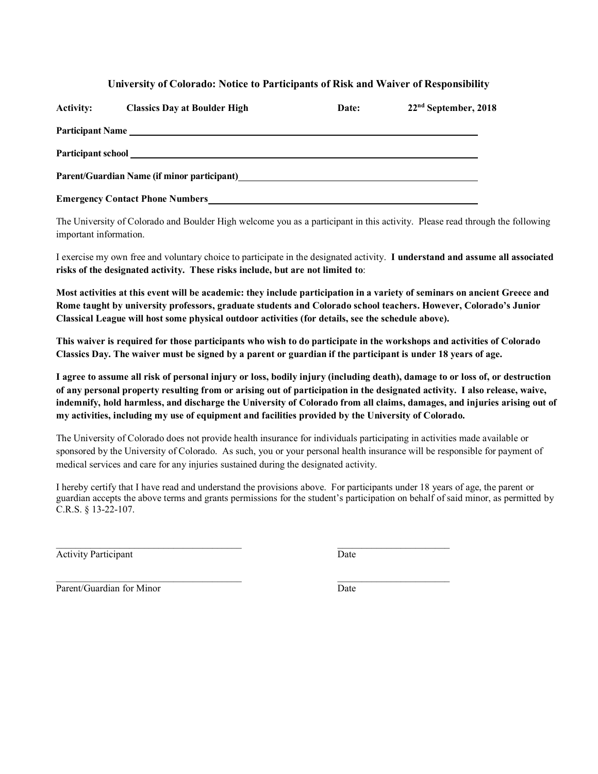#### **University of Colorado: Notice to Participants of Risk and Waiver of Responsibility**

| <b>Activity:</b>          | <b>Classics Day at Boulder High</b>         | Date: | 22 <sup>nd</sup> September, 2018 |
|---------------------------|---------------------------------------------|-------|----------------------------------|
|                           | Participant Name                            |       |                                  |
| <b>Participant school</b> |                                             |       |                                  |
|                           | Parent/Guardian Name (if minor participant) |       |                                  |
|                           | <b>Emergency Contact Phone Numbers</b>      |       |                                  |

The University of Colorado and Boulder High welcome you as a participant in this activity. Please read through the following important information.

I exercise my own free and voluntary choice to participate in the designated activity. **I understand and assume all associated risks of the designated activity. These risks include, but are not limited to**:

**Most activities at this event will be academic: they include participation in a variety of seminars on ancient Greece and Rome taught by university professors, graduate students and Colorado school teachers. However, Colorado's Junior Classical League will host some physical outdoor activities (for details, see the schedule above).**

**This waiver is required for those participants who wish to do participate in the workshops and activities of Colorado Classics Day. The waiver must be signed by a parent or guardian if the participant is under 18 years of age.**

**I agree to assume all risk of personal injury or loss, bodily injury (including death), damage to or loss of, or destruction of any personal property resulting from or arising out of participation in the designated activity. I also release, waive, indemnify, hold harmless, and discharge the University of Colorado from all claims, damages, and injuries arising out of my activities, including my use of equipment and facilities provided by the University of Colorado.**

The University of Colorado does not provide health insurance for individuals participating in activities made available or sponsored by the University of Colorado. As such, you or your personal health insurance will be responsible for payment of medical services and care for any injuries sustained during the designated activity.

I hereby certify that I have read and understand the provisions above. For participants under 18 years of age, the parent or guardian accepts the above terms and grants permissions for the student's participation on behalf of said minor, as permitted by C.R.S. § 13-22-107.

Activity Participant Date

Parent/Guardian for Minor Date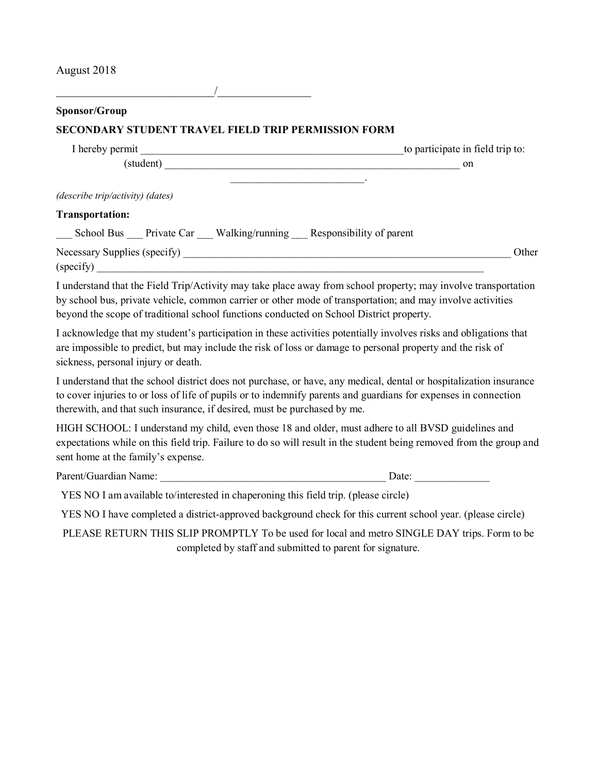August 2018

| Sponsor/Group<br>SECONDARY STUDENT TRAVEL FIELD TRIP PERMISSION FORM                                                                                                                                                                                                                                                    |                                                           |
|-------------------------------------------------------------------------------------------------------------------------------------------------------------------------------------------------------------------------------------------------------------------------------------------------------------------------|-----------------------------------------------------------|
|                                                                                                                                                                                                                                                                                                                         |                                                           |
|                                                                                                                                                                                                                                                                                                                         |                                                           |
| (student) on                                                                                                                                                                                                                                                                                                            |                                                           |
|                                                                                                                                                                                                                                                                                                                         |                                                           |
| (describe trip/activity) (dates)                                                                                                                                                                                                                                                                                        |                                                           |
| <b>Transportation:</b>                                                                                                                                                                                                                                                                                                  |                                                           |
| ___ School Bus ___ Private Car ___ Walking/running ___ Responsibility of parent                                                                                                                                                                                                                                         |                                                           |
| (specify)                                                                                                                                                                                                                                                                                                               | Other                                                     |
| I understand that the Field Trip/Activity may take place away from school property; may involve transportation<br>by school bus, private vehicle, common carrier or other mode of transportation; and may involve activities<br>beyond the scope of traditional school functions conducted on School District property. |                                                           |
| I acknowledge that my student's participation in these activities potentially involves risks and obligations that<br>are impossible to predict, but may include the risk of loss or damage to personal property and the risk of<br>sickness, personal injury or death.                                                  |                                                           |
| I understand that the school district does not purchase, or have, any medical, dental or hospitalization insurance<br>to cover injuries to or loss of life of pupils or to indemnify parents and guardians for expenses in connection<br>therewith, and that such insurance, if desired, must be purchased by me.       |                                                           |
| HIGH SCHOOL: I understand my child, even those 18 and older, must adhere to all BVSD guidelines and<br>expectations while on this field trip. Failure to do so will result in the student being removed from the group and<br>sent home at the family's expense.                                                        |                                                           |
| Parent/Guardian Name: Date: Date:                                                                                                                                                                                                                                                                                       |                                                           |
| YES NO I am available to/interested in chaperoning this field trip. (please circle)                                                                                                                                                                                                                                     |                                                           |
| YES NO I have completed a district-approved background check for this current school year. (please circle)                                                                                                                                                                                                              |                                                           |
| PLEASE RETURN THIS SLIP PROMPTLY To be used for local and metro SINGLE DAY trips. Form to be                                                                                                                                                                                                                            | completed by staff and submitted to parent for signature. |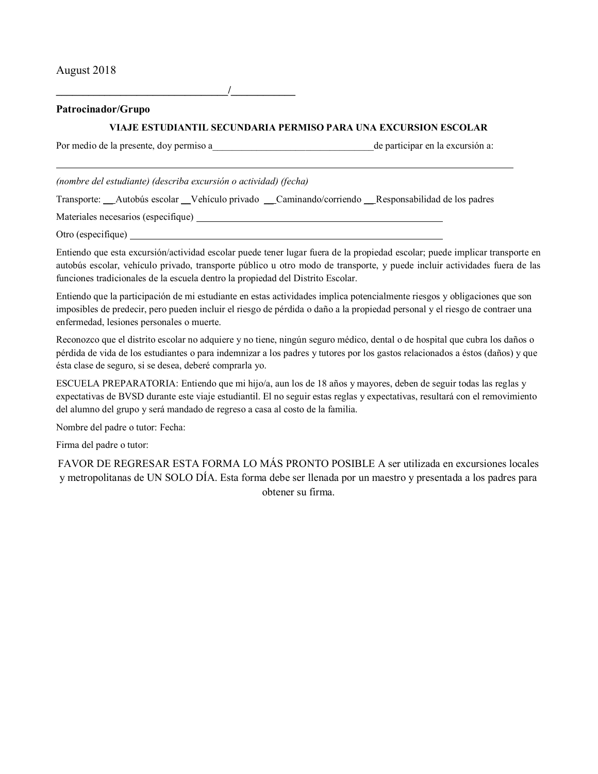August 2018

**\_\_\_\_\_\_\_\_\_\_\_\_\_\_\_\_\_\_\_\_\_\_\_\_\_\_\_\_\_\_\_\_/\_\_\_\_\_\_\_\_\_\_\_\_**

**Patrocinador/Grupo**

#### **VIAJE ESTUDIANTIL SECUNDARIA PERMISO PARA UNA EXCURSION ESCOLAR**

Por medio de la presente, doy permiso a que el participar en la excursión a:

*(nombre del estudiante) (describa excursión o actividad) (fecha)*

Transporte: \_\_ Autobús escolar \_\_Vehículo privado \_\_ Caminando/corriendo \_\_ Responsabilidad de los padres

Materiales necesarios (especifique)

Otro (especifique)

Entiendo que esta excursión/actividad escolar puede tener lugar fuera de la propiedad escolar; puede implicar transporte en autobús escolar, vehículo privado, transporte público u otro modo de transporte, y puede incluir actividades fuera de las funciones tradicionales de la escuela dentro la propiedad del Distrito Escolar.

Entiendo que la participación de mi estudiante en estas actividades implica potencialmente riesgos y obligaciones que son imposibles de predecir, pero pueden incluir el riesgo de pérdida o daño a la propiedad personal y el riesgo de contraer una enfermedad, lesiones personales o muerte.

Reconozco que el distrito escolar no adquiere y no tiene, ningún seguro médico, dental o de hospital que cubra los daños o pérdida de vida de los estudiantes o para indemnizar a los padres y tutores por los gastos relacionados a éstos (daños) y que ésta clase de seguro, si se desea, deberé comprarla yo.

ESCUELA PREPARATORIA: Entiendo que mi hijo/a, aun los de 18 años y mayores, deben de seguir todas las reglas y expectativas de BVSD durante este viaje estudiantil. El no seguir estas reglas y expectativas, resultará con el removimiento del alumno del grupo y será mandado de regreso a casa al costo de la familia.

Nombre del padre o tutor: Fecha:

Firma del padre o tutor:

FAVOR DE REGRESAR ESTA FORMA LO MÁS PRONTO POSIBLE A ser utilizada en excursiones locales y metropolitanas de UN SOLO DÍA. Esta forma debe ser llenada por un maestro y presentada a los padres para obtener su firma.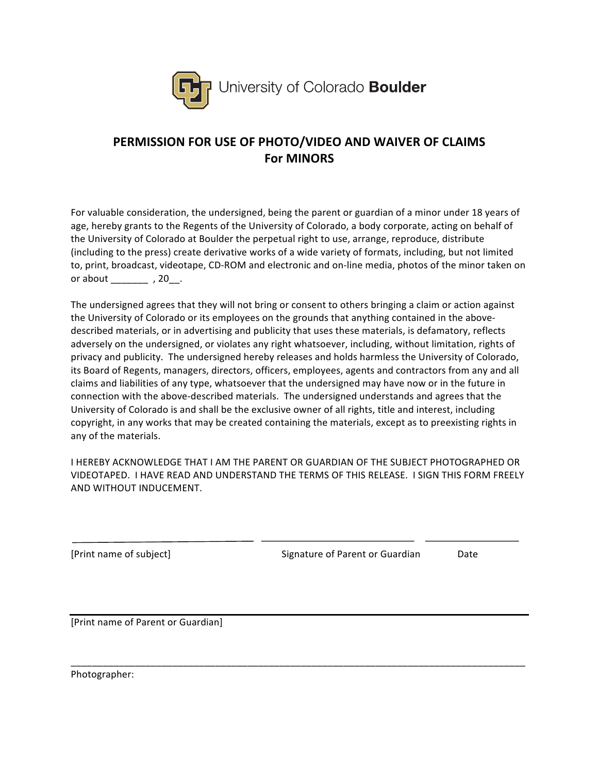

# PERMISSION FOR USE OF PHOTO/VIDEO AND WAIVER OF CLAIMS **For MINORS**

For valuable consideration, the undersigned, being the parent or guardian of a minor under 18 years of age, hereby grants to the Regents of the University of Colorado, a body corporate, acting on behalf of the University of Colorado at Boulder the perpetual right to use, arrange, reproduce, distribute (including to the press) create derivative works of a wide variety of formats, including, but not limited to, print, broadcast, videotape, CD-ROM and electronic and on-line media, photos of the minor taken on or about \_\_\_\_\_\_\_\_\_\_\_\_\_ , 20\_\_\_.

The undersigned agrees that they will not bring or consent to others bringing a claim or action against the University of Colorado or its employees on the grounds that anything contained in the abovedescribed materials, or in advertising and publicity that uses these materials, is defamatory, reflects adversely on the undersigned, or violates any right whatsoever, including, without limitation, rights of privacy and publicity. The undersigned hereby releases and holds harmless the University of Colorado, its Board of Regents, managers, directors, officers, employees, agents and contractors from any and all claims and liabilities of any type, whatsoever that the undersigned may have now or in the future in connection with the above-described materials. The undersigned understands and agrees that the University of Colorado is and shall be the exclusive owner of all rights, title and interest, including copyright, in any works that may be created containing the materials, except as to preexisting rights in any of the materials.

I HEREBY ACKNOWLEDGE THAT I AM THE PARENT OR GUARDIAN OF THE SUBJECT PHOTOGRAPHED OR VIDEOTAPED. I HAVE READ AND UNDERSTAND THE TERMS OF THIS RELEASE. I SIGN THIS FORM FREELY AND WITHOUT INDUCEMENT.

[Print name of subject]

Signature of Parent or Guardian

Date

[Print name of Parent or Guardian]

Photographer: